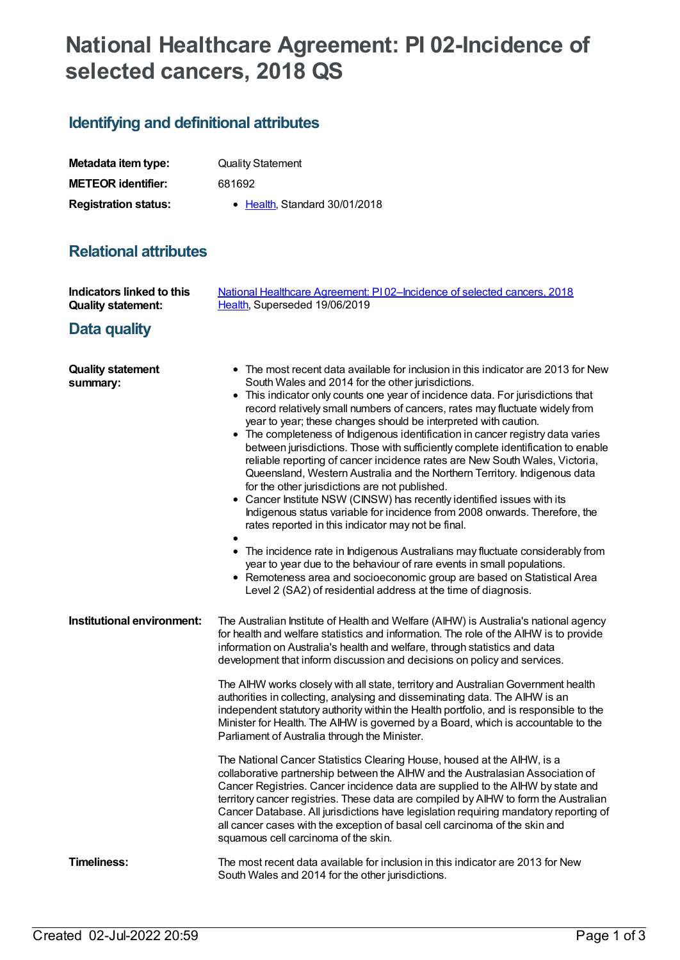# **National Healthcare Agreement: PI 02-Incidence of selected cancers, 2018 QS**

## **Identifying and definitional attributes**

| Metadata item type:         | <b>Quality Statement</b>              |
|-----------------------------|---------------------------------------|
| <b>METEOR identifier:</b>   | 681692                                |
| <b>Registration status:</b> | $\bullet$ Health. Standard 30/01/2018 |

### **Relational attributes**

| Indicators linked to this<br><b>Quality statement:</b> | National Healthcare Agreement: PI02-Incidence of selected cancers, 2018<br>Health, Superseded 19/06/2019                                                                                                                                                                                                                                                                                                                                                                                                                                                                                                                                                                                                                                                                                                                                                                                                                                                                                                                                                                                                                                                                                                                                                                             |
|--------------------------------------------------------|--------------------------------------------------------------------------------------------------------------------------------------------------------------------------------------------------------------------------------------------------------------------------------------------------------------------------------------------------------------------------------------------------------------------------------------------------------------------------------------------------------------------------------------------------------------------------------------------------------------------------------------------------------------------------------------------------------------------------------------------------------------------------------------------------------------------------------------------------------------------------------------------------------------------------------------------------------------------------------------------------------------------------------------------------------------------------------------------------------------------------------------------------------------------------------------------------------------------------------------------------------------------------------------|
| Data quality                                           |                                                                                                                                                                                                                                                                                                                                                                                                                                                                                                                                                                                                                                                                                                                                                                                                                                                                                                                                                                                                                                                                                                                                                                                                                                                                                      |
| <b>Quality statement</b><br>summary:                   | • The most recent data available for inclusion in this indicator are 2013 for New<br>South Wales and 2014 for the other jurisdictions.<br>• This indicator only counts one year of incidence data. For jurisdictions that<br>record relatively small numbers of cancers, rates may fluctuate widely from<br>year to year; these changes should be interpreted with caution.<br>• The completeness of Indigenous identification in cancer registry data varies<br>between jurisdictions. Those with sufficiently complete identification to enable<br>reliable reporting of cancer incidence rates are New South Wales, Victoria,<br>Queensland, Western Australia and the Northern Territory. Indigenous data<br>for the other jurisdictions are not published.<br>• Cancer Institute NSW (CINSW) has recently identified issues with its<br>Indigenous status variable for incidence from 2008 onwards. Therefore, the<br>rates reported in this indicator may not be final.<br>• The incidence rate in Indigenous Australians may fluctuate considerably from<br>year to year due to the behaviour of rare events in small populations.<br>Remoteness area and socioeconomic group are based on Statistical Area<br>Level 2 (SA2) of residential address at the time of diagnosis. |
| Institutional environment:                             | The Australian Institute of Health and Welfare (AIHW) is Australia's national agency<br>for health and welfare statistics and information. The role of the AIHW is to provide<br>information on Australia's health and welfare, through statistics and data<br>development that inform discussion and decisions on policy and services.<br>The AIHW works closely with all state, territory and Australian Government health<br>authorities in collecting, analysing and disseminating data. The AIHW is an<br>independent statutory authority within the Health portfolio, and is responsible to the<br>Minister for Health. The AIHW is governed by a Board, which is accountable to the<br>Parliament of Australia through the Minister.<br>The National Cancer Statistics Clearing House, housed at the AIHW, is a<br>collaborative partnership between the AIHW and the Australasian Association of                                                                                                                                                                                                                                                                                                                                                                             |
|                                                        | Cancer Registries. Cancer incidence data are supplied to the AIHW by state and<br>territory cancer registries. These data are compiled by AIHW to form the Australian<br>Cancer Database. All jurisdictions have legislation requiring mandatory reporting of<br>all cancer cases with the exception of basal cell carcinoma of the skin and<br>squamous cell carcinoma of the skin.                                                                                                                                                                                                                                                                                                                                                                                                                                                                                                                                                                                                                                                                                                                                                                                                                                                                                                 |
| <b>Timeliness:</b>                                     | The most recent data available for inclusion in this indicator are 2013 for New<br>South Wales and 2014 for the other jurisdictions.                                                                                                                                                                                                                                                                                                                                                                                                                                                                                                                                                                                                                                                                                                                                                                                                                                                                                                                                                                                                                                                                                                                                                 |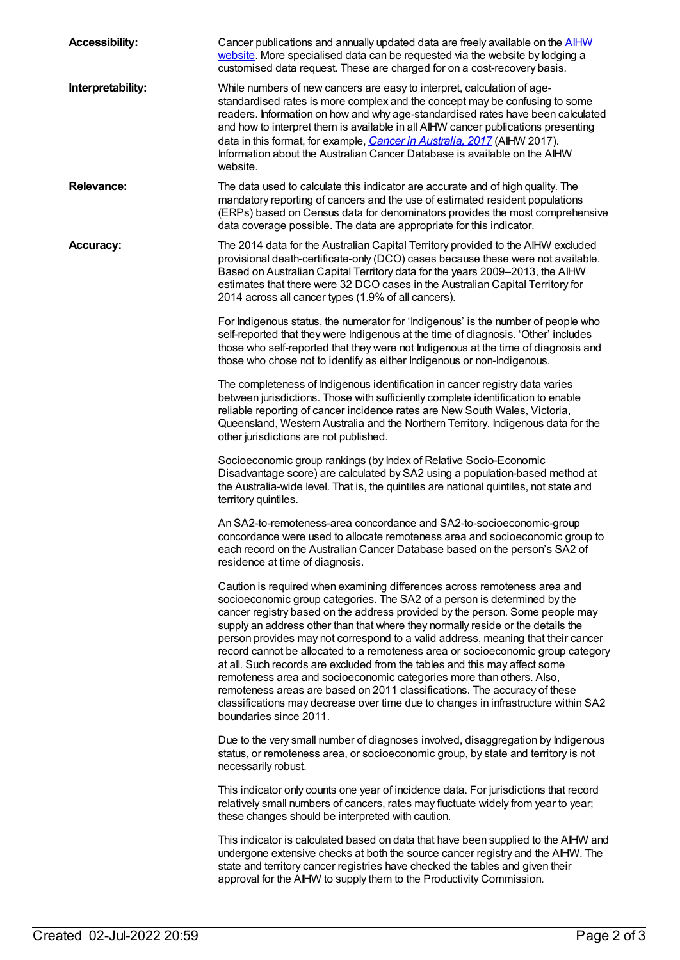| <b>Accessibility:</b> | Cancer publications and annually updated data are freely available on the <b>AIHW</b><br>website. More specialised data can be requested via the website by lodging a<br>customised data request. These are charged for on a cost-recovery basis.                                                                                                                                                                                                                                                                                                                                                                                                                                                                                                                                                                                                  |
|-----------------------|----------------------------------------------------------------------------------------------------------------------------------------------------------------------------------------------------------------------------------------------------------------------------------------------------------------------------------------------------------------------------------------------------------------------------------------------------------------------------------------------------------------------------------------------------------------------------------------------------------------------------------------------------------------------------------------------------------------------------------------------------------------------------------------------------------------------------------------------------|
| Interpretability:     | While numbers of new cancers are easy to interpret, calculation of age-<br>standardised rates is more complex and the concept may be confusing to some<br>readers. Information on how and why age-standardised rates have been calculated<br>and how to interpret them is available in all AIHW cancer publications presenting<br>data in this format, for example, Cancer in Australia, 2017 (AIHW 2017).<br>Information about the Australian Cancer Database is available on the AIHW<br>website.                                                                                                                                                                                                                                                                                                                                                |
| <b>Relevance:</b>     | The data used to calculate this indicator are accurate and of high quality. The<br>mandatory reporting of cancers and the use of estimated resident populations<br>(ERPs) based on Census data for denominators provides the most comprehensive<br>data coverage possible. The data are appropriate for this indicator.                                                                                                                                                                                                                                                                                                                                                                                                                                                                                                                            |
| <b>Accuracy:</b>      | The 2014 data for the Australian Capital Territory provided to the AIHW excluded<br>provisional death-certificate-only (DCO) cases because these were not available.<br>Based on Australian Capital Territory data for the years 2009-2013, the AIHW<br>estimates that there were 32 DCO cases in the Australian Capital Territory for<br>2014 across all cancer types (1.9% of all cancers).                                                                                                                                                                                                                                                                                                                                                                                                                                                      |
|                       | For Indigenous status, the numerator for 'Indigenous' is the number of people who<br>self-reported that they were Indigenous at the time of diagnosis. 'Other' includes<br>those who self-reported that they were not Indigenous at the time of diagnosis and<br>those who chose not to identify as either Indigenous or non-Indigenous.                                                                                                                                                                                                                                                                                                                                                                                                                                                                                                           |
|                       | The completeness of Indigenous identification in cancer registry data varies<br>between jurisdictions. Those with sufficiently complete identification to enable<br>reliable reporting of cancer incidence rates are New South Wales, Victoria,<br>Queensland, Western Australia and the Northern Territory. Indigenous data for the<br>other jurisdictions are not published.                                                                                                                                                                                                                                                                                                                                                                                                                                                                     |
|                       | Socioeconomic group rankings (by Index of Relative Socio-Economic<br>Disadvantage score) are calculated by SA2 using a population-based method at<br>the Australia-wide level. That is, the quintiles are national quintiles, not state and<br>territory quintiles.                                                                                                                                                                                                                                                                                                                                                                                                                                                                                                                                                                                |
|                       | An SA2-to-remoteness-area concordance and SA2-to-socioeconomic-group<br>concordance were used to allocate remoteness area and socioeconomic group to<br>each record on the Australian Cancer Database based on the person's SA2 of<br>residence at time of diagnosis.                                                                                                                                                                                                                                                                                                                                                                                                                                                                                                                                                                              |
|                       | Caution is required when examining differences across remoteness area and<br>socioeconomic group categories. The SA2 of a person is determined by the<br>cancer registry based on the address provided by the person. Some people may<br>supply an address other than that where they normally reside or the details the<br>person provides may not correspond to a valid address, meaning that their cancer<br>record cannot be allocated to a remoteness area or socioeconomic group category<br>at all. Such records are excluded from the tables and this may affect some<br>remoteness area and socioeconomic categories more than others. Also,<br>remoteness areas are based on 2011 classifications. The accuracy of these<br>classifications may decrease over time due to changes in infrastructure within SA2<br>boundaries since 2011. |
|                       | Due to the very small number of diagnoses involved, disaggregation by Indigenous<br>status, or remoteness area, or socioeconomic group, by state and territory is not<br>necessarily robust.                                                                                                                                                                                                                                                                                                                                                                                                                                                                                                                                                                                                                                                       |
|                       | This indicator only counts one year of incidence data. For jurisdictions that record<br>relatively small numbers of cancers, rates may fluctuate widely from year to year;<br>these changes should be interpreted with caution.                                                                                                                                                                                                                                                                                                                                                                                                                                                                                                                                                                                                                    |
|                       | This indicator is calculated based on data that have been supplied to the AIHW and<br>undergone extensive checks at both the source cancer registry and the AIHW. The<br>state and territory cancer registries have checked the tables and given their<br>approval for the AIHW to supply them to the Productivity Commission.                                                                                                                                                                                                                                                                                                                                                                                                                                                                                                                     |